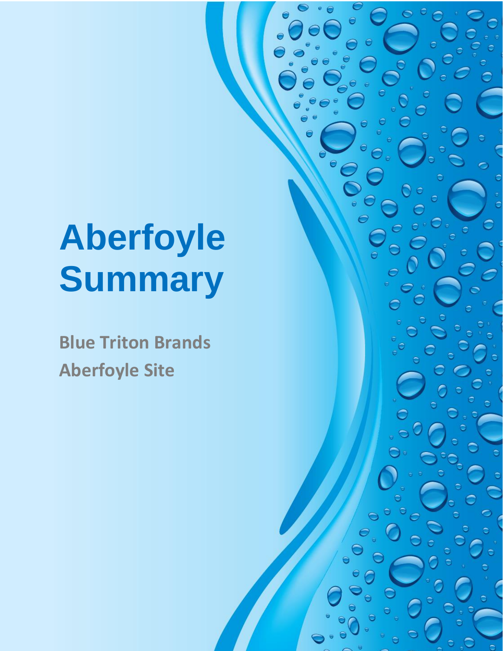# **Aberfoyle Summary**

**Blue Triton Brands Aberfoyle Site**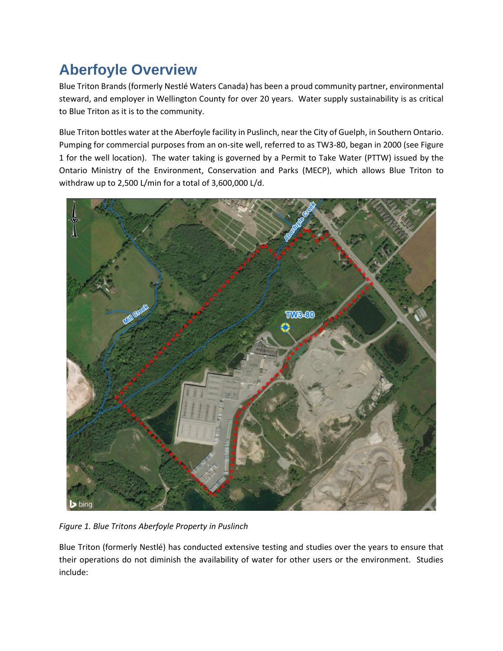## **Aberfoyle Overview**

Blue Triton Brands (formerly Nestlé Waters Canada) has been a proud community partner, environmental steward, and employer in Wellington County for over 20 years. Water supply sustainability is as critical to Blue Triton as it is to the community.

Blue Triton bottles water at the Aberfoyle facility in Puslinch, near the City of Guelph, in Southern Ontario. Pumping for commercial purposes from an on-site well, referred to as TW3-80, began in 2000 (see Figure 1 for the well location). The water taking is governed by a Permit to Take Water (PTTW) issued by the Ontario Ministry of the Environment, Conservation and Parks (MECP), which allows Blue Triton to withdraw up to 2,500 L/min for a total of 3,600,000 L/d.



*Figure 1. Blue Tritons Aberfoyle Property in Puslinch*

Blue Triton (formerly Nestlé) has conducted extensive testing and studies over the years to ensure that their operations do not diminish the availability of water for other users or the environment. Studies include: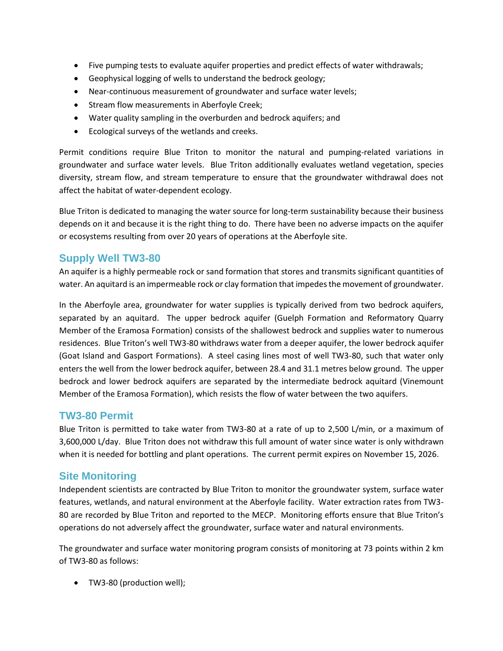- Five pumping tests to evaluate aquifer properties and predict effects of water withdrawals;
- Geophysical logging of wells to understand the bedrock geology;
- Near-continuous measurement of groundwater and surface water levels;
- Stream flow measurements in Aberfoyle Creek;
- Water quality sampling in the overburden and bedrock aquifers; and
- Ecological surveys of the wetlands and creeks.

Permit conditions require Blue Triton to monitor the natural and pumping-related variations in groundwater and surface water levels. Blue Triton additionally evaluates wetland vegetation, species diversity, stream flow, and stream temperature to ensure that the groundwater withdrawal does not affect the habitat of water-dependent ecology.

Blue Triton is dedicated to managing the water source for long-term sustainability because their business depends on it and because it is the right thing to do. There have been no adverse impacts on the aquifer or ecosystems resulting from over 20 years of operations at the Aberfoyle site.

#### **Supply Well TW3-80**

An aquifer is a highly permeable rock or sand formation that stores and transmits significant quantities of water. An aquitard is an impermeable rock or clay formation that impedes the movement of groundwater.

In the Aberfoyle area, groundwater for water supplies is typically derived from two bedrock aquifers, separated by an aquitard. The upper bedrock aquifer (Guelph Formation and Reformatory Quarry Member of the Eramosa Formation) consists of the shallowest bedrock and supplies water to numerous residences. Blue Triton's well TW3-80 withdraws water from a deeper aquifer, the lower bedrock aquifer (Goat Island and Gasport Formations). A steel casing lines most of well TW3-80, such that water only enters the well from the lower bedrock aquifer, between 28.4 and 31.1 metres below ground. The upper bedrock and lower bedrock aquifers are separated by the intermediate bedrock aquitard (Vinemount Member of the Eramosa Formation), which resists the flow of water between the two aquifers.

#### **TW3-80 Permit**

Blue Triton is permitted to take water from TW3-80 at a rate of up to 2,500 L/min, or a maximum of 3,600,000 L/day. Blue Triton does not withdraw this full amount of water since water is only withdrawn when it is needed for bottling and plant operations. The current permit expires on November 15, 2026.

#### **Site Monitoring**

Independent scientists are contracted by Blue Triton to monitor the groundwater system, surface water features, wetlands, and natural environment at the Aberfoyle facility. Water extraction rates from TW3- 80 are recorded by Blue Triton and reported to the MECP. Monitoring efforts ensure that Blue Triton's operations do not adversely affect the groundwater, surface water and natural environments.

The groundwater and surface water monitoring program consists of monitoring at 73 points within 2 km of TW3-80 as follows:

• TW3-80 (production well);